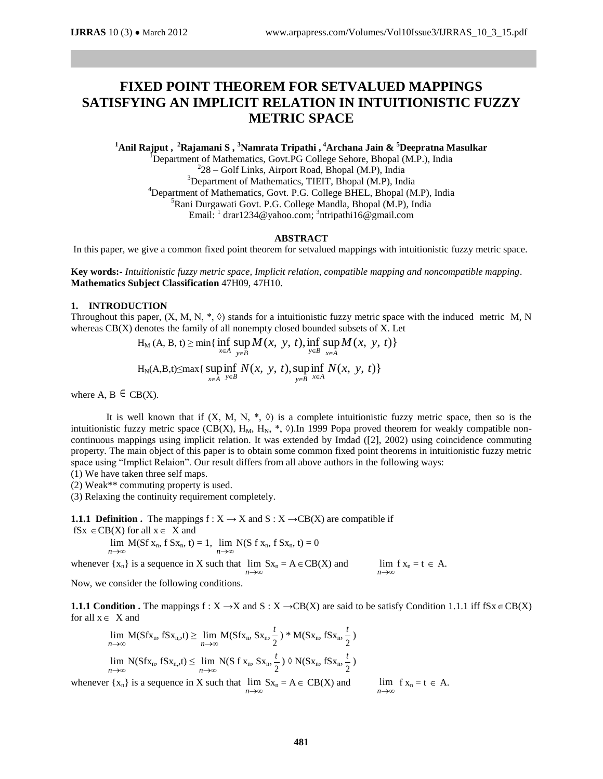# **FIXED POINT THEOREM FOR SETVALUED MAPPINGS SATISFYING AN IMPLICIT RELATION IN INTUITIONISTIC FUZZY METRIC SPACE**

**<sup>1</sup>Anil Rajput , <sup>2</sup>Rajamani S , <sup>3</sup>Namrata Tripathi , <sup>4</sup>Archana Jain & <sup>5</sup>Deepratna Masulkar** 

<sup>1</sup>Department of Mathematics, Govt.PG College Sehore, Bhopal (M.P.), India 2 28 – Golf Links, Airport Road, Bhopal (M.P), India <sup>3</sup>Department of Mathematics, TIEIT, Bhopal (M.P), India <sup>4</sup>Department of Mathematics, Govt. P.G. College BHEL, Bhopal (M.P), India <sup>5</sup>Rani Durgawati Govt. P.G. College Mandla, Bhopal (M.P), India Email:  $\frac{1}{1}$  [drar1234@yahoo.com;](mailto:drar1234@yahoo.com)  $\frac{3}{1}$ [ntripathi16@gmail.com](mailto:ntripathi16@gmail.com)

#### **ABSTRACT**

In this paper, we give a common fixed point theorem for setvalued mappings with intuitionistic fuzzy metric space.

**Key words:-** *Intuitionistic fuzzy metric space, Implicit relation, compatible mapping and noncompatible mapping.* **Mathematics Subject Classification** 47H09, 47H10.

#### **1. INTRODUCTION**

Throughout this paper,  $(X, M, N, *, \Diamond)$  stands for a intuitionistic fuzzy metric space with the induced metric M, N whereas  $CB(X)$  denotes the family of all nonempty closed bounded subsets of X. Let

$$
H_M(A, B, t) \ge \min\{\inf_{x \in A} \sup_{y \in B} M(x, y, t), \inf_{y \in B} \sup_{x \in A} M(x, y, t)\}
$$
  
 $H_N(A, B, t) \le \max\{\sup_{x \in A} \inf_{y \in B} N(x, y, t), \sup_{y \in B} \inf_{x \in A} N(x, y, t)\}$ 

where A,  $B \in CB(X)$ .

It is well known that if  $(X, M, N, * , \Diamond)$  is a complete intuitionistic fuzzy metric space, then so is the intuitionistic fuzzy metric space (CB(X), H<sub>M</sub>, H<sub>N</sub>,  $*$ ,  $\Diamond$ ). In 1999 Popa proved theorem for weakly compatible noncontinuous mappings using implicit relation. It was extended by Imdad ([2], 2002) using coincidence commuting property. The main object of this paper is to obtain some common fixed point theorems in intuitionistic fuzzy metric space using "Implict Relaion". Our result differs from all above authors in the following ways:

(1) We have taken three self maps.

(2) Weak\*\* commuting property is used.

(3) Relaxing the continuity requirement completely.

**1.1.1 Definition .** The mappings  $f : X \to X$  and  $S : X \to CB(X)$  are compatible if  $fSx \in CB(X)$  for all  $x \in X$  and

> $n \rightarrow \infty$  $\lim_{n \to \infty} M(Sf x_n, f S x_n, t) = 1$ ,  $\lim_{n \to \infty} N(Sf x_n, f S x_n, t) = 0$  $n \rightarrow \infty$

whenever  $\{x_n\}$  is a sequence in X such that  $\lim Sx_n = A \in CB(X)$  and  $n \rightarrow \infty$  $n \rightarrow \infty$  $\lim f x_n = t \in A$ .

Now, we consider the following conditions.

**1.1.1 Condition .** The mappings  $f : X \to X$  and  $S : X \to CB(X)$  are said to be satisfy Condition 1.1.1 iff  $fSx \in CB(X)$ for all  $x \in X$  and

$$
\lim_{n \to \infty} M(Sfx_n, fSx_n, t) \ge \lim_{n \to \infty} M(Sfx_n, Sx_n, \frac{t}{2}) * M(Sx_n, fSx_n, \frac{t}{2})
$$
\n
$$
\lim_{n \to \infty} N(Sfx_n, fSx_n, t) \le \lim_{n \to \infty} N(Sf x_n, Sx_n, \frac{t}{2}) \Diamond N(Sx_n, fSx_n, \frac{t}{2})
$$
\nwhenever  $\{x_n\}$  is a sequence in X such that  $\lim_{n \to \infty} Sx_n = A \in CB(X)$  and  $\lim_{n \to \infty} f x_n = t \in A$ .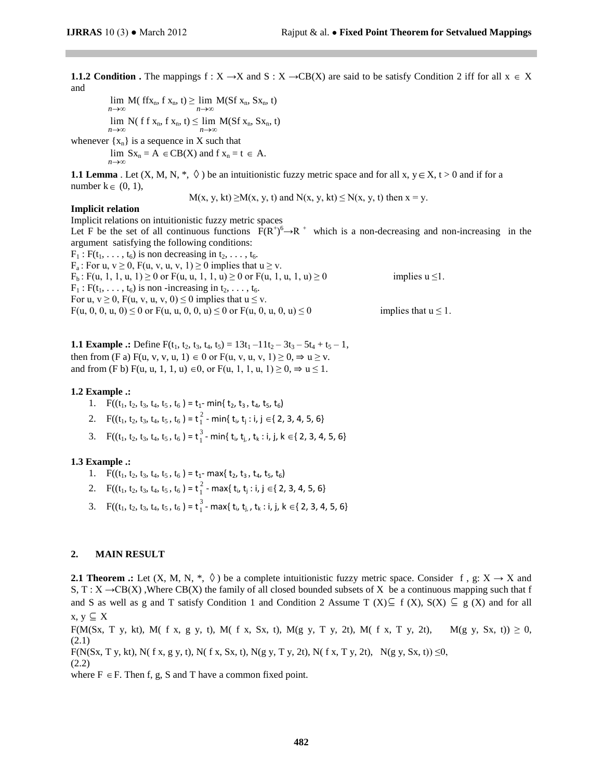**1.1.2 Condition .** The mappings  $f : X \to X$  and  $S : X \to CB(X)$  are said to be satisfy Condition 2 iff for all  $x \in X$ and

$$
\lim_{n \to \infty} M(\text{ ff} x_n, \text{ f } x_n, t) \ge \lim_{n \to \infty} M(\text{Sf } x_n, \text{ S} x_n, t)
$$
\n
$$
\lim_{n \to \infty} N(\text{ ff } x_n, \text{ f } x_n, t) \le \lim_{n \to \infty} M(\text{Sf } x_n, \text{ S} x_n, t)
$$

whenever  $\{x_n\}$  is a sequence in X such that  $n \rightarrow \infty$  $\lim Sx_n = A \in CB(X)$  and  $f x_n = t \in A$ .

**1.1 Lemma** . Let  $(X, M, N, *, \Diamond)$  be an intuitionistic fuzzy metric space and for all x,  $y \in X$ ,  $t > 0$  and if for a number  $k \in (0, 1)$ ,

 $M(x, y, kt) \ge M(x, y, t)$  and  $N(x, y, kt) \le N(x, y, t)$  then  $x = y$ .

## **Implicit relation**

Implicit relations on intuitionistic fuzzy metric spaces Let F be the set of all continuous functions  $F(R^+)^6 \rightarrow R^+$  which is a non-decreasing and non-increasing in the argument satisfying the following conditions:  $F_1$ :  $F(t_1, \ldots, t_6)$  is non decreasing in  $t_2, \ldots, t_6$ .  $F_a$ : For u,  $v \ge 0$ ,  $F(u, v, u, v, 1) \ge 0$  implies that  $u \ge v$ .  $F_b$ :  $F(u, 1, 1, u, 1) \ge 0$  or  $F(u, u, 1, 1, u) \ge 0$  or  $F(u, 1, u, 1, u) \ge 0$  implies  $u \le 1$ .  $F_1$ :  $F(t_1, \ldots, t_6)$  is non-increasing in  $t_2, \ldots, t_6$ . For u,  $v \ge 0$ , F(u, v, u, v, 0)  $\le 0$  implies that  $u \le v$ . F(u, 0, 0, u, 0)  $\leq$  0 or F(u, u, 0, 0, u)  $\leq$  0 or F(u, 0, u, 0, u)  $\leq$  0 implies that u  $\leq$  1.

**1.1 Example .:** Define  $F(t_1, t_2, t_3, t_4, t_5) = 13t_1 - 11t_2 - 3t_3 - 5t_4 + t_5 - 1$ , then from (F a)  $F(u, v, v, u, 1) \in 0$  or  $F(u, v, u, v, 1) \ge 0, \Rightarrow u \ge v$ . and from (F b) F(u, u, 1, 1, u) ∈0, or F(u, 1, 1, u, 1) ≥ 0,  $\Rightarrow$  u ≤ 1.

#### **1.2 Example .:**

1.  $F((t_1, t_2, t_3, t_4, t_5, t_6) = t_1 - min\{t_2, t_3, t_4, t_5, t_6\})$ 

- 2.  $F((t_1, t_2, t_3, t_4, t_5, t_6) = t_1^2$  $\frac{2}{1}$  - min{ t<sub>i</sub>, t<sub>j</sub> : i, j  $\in$  { 2, 3, 4, 5, 6}
- 3.  $F((t_1, t_2, t_3, t_4, t_5, t_6) = t_1^3$  $\frac{3}{1}$ - min{ t<sub>i</sub>, t<sub>j,</sub> , t<sub>k</sub> : i, j, k  $\in$ { 2, 3, 4, 5, 6}

### **1.3 Example .:**

- 1.  $F((t_1, t_2, t_3, t_4, t_5, t_6) = t_1$  max $\{t_2, t_3, t_4, t_5, t_6\})$
- 2.  $F((t_1, t_2, t_3, t_4, t_5, t_6) = t_1^2$  $\frac{2}{1}$  - max{ t<sub>i</sub>, t<sub>j</sub> : i, j ∈{ 2, 3, 4, 5, 6}
- 3.  $F((t_1, t_2, t_3, t_4, t_5, t_6) = t_1^3$  $\frac{3}{1}$ - max{ t<sub>i</sub>, t<sub>j,</sub> , t<sub>k</sub> : i, j, k  $\in$ { 2, 3, 4, 5, 6}

# **2. MAIN RESULT**

**2.1 Theorem .:** Let  $(X, M, N, *, \Diamond)$  be a complete intuitionistic fuzzy metric space. Consider f, g:  $X \to X$  and S, T :  $X \rightarrow CB(X)$  , Where CB(X) the family of all closed bounded subsets of X be a continuous mapping such that f and S as well as g and T satisfy Condition 1 and Condition 2 Assume T  $(X) \subseteq f(X)$ ,  $S(X) \subseteq g(X)$  and for all  $x, y \subseteq X$ 

F(M(Sx, T y, kt), M( f x, g y, t), M( f x, Sx, t), M(g y, T y, 2t), M( f x, T y, 2t), M(g y, Sx, t))  $\geq$  0, (2.1)

 $F(N(Sx, T y, kt), N(f x, g y, t), N(f x, Sx, t), N(g y, T y, 2t), N(f x, T y, 2t), N(g y, Sx, t)) \le 0$ 

(2.2)

where  $F \in F$ . Then f, g, S and T have a common fixed point.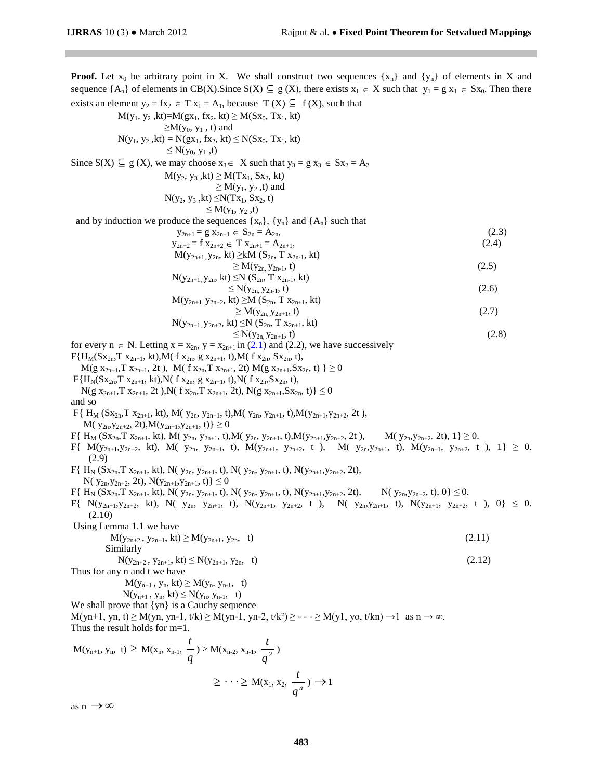**Proof.** Let  $x_0$  be arbitrary point in X. We shall construct two sequences  $\{x_n\}$  and  $\{y_n\}$  of elements in X and sequence  $\{A_n\}$  of elements in CB(X). Since  $S(X) \subseteq g(X)$ , there exists  $x_1 \in X$  such that  $y_1 = g x_1 \in Sx_0$ . Then there exists an element  $y_2 = fx_2 \in T x_1 = A_1$ , because  $T(X) \subseteq f(X)$ , such that  $M(y_1, y_2, kt) = M(gx_1, fx_2, kt) \ge M(Sx_0, Tx_1, kt)$  $\geq M(y_0, y_1, t)$  and  $N(y_1, y_2, kt) = N(gx_1, fx_2, kt) \le N(Sx_0, Tx_1, kt)$  $\leq N(y_0, y_1, t)$ Since  $S(X) \subseteq g(X)$ , we may choose  $x_3 \in X$  such that  $y_3 = g x_3 \in Sx_2 = A_2$  $M(y_2, y_3, kt) \geq M(Tx_1, Sx_2, kt)$  $\geq M(y_1, y_2, t)$  and  $N(y_2, y_3, kt) \leq N(Tx_1, Sx_2, t)$  $\leq M(y_1, y_2, t)$ and by induction we produce the sequences  $\{x_n\}$ ,  $\{y_n\}$  and  $\{A_n\}$  such that  $y_{2n+1} = g x_{2n+1} \in S_{2n} = A_{2n},$  (2.3)  $y_{2n+2} = f x_{2n+2} \in T x_{2n+1} = A_{2n+1},$  (2.4)  $M(y_{2n+1}, y_{2n}, kt) \geq kM (S_{2n}, T x_{2n-1}, kt)$  $\geq M(y_{2n}, y_{2n-1}, t)$  (2.5)  $N(y_{2n+1}, y_{2n}, kt) \leq N (S_{2n}, T x_{2n-1}, kt)$  $\leq N(y_{2n}, y_{2n-1}, t)$  (2.6)  $M(y_{2n+1}, y_{2n+2}, kt) \geq M(S_{2n}, T x_{2n+1}, kt)$  $\geq M(y_{2n}, y_{2n+1}, t)$  (2.7)  $N(y_{2n+1}, y_{2n+2}, kt) \leq N (S_{2n}, T x_{2n+1}, kt)$  $\leq N(y_{2n}, y_{2n+1}, t)$  (2.8) for every  $n \in N$ . Letting  $x = x_{2n}$ ,  $y = x_{2n+1}$  in (2.1) and (2.2), we have successively  $F\{H_M(Sx_{2n}, T x_{2n+1}, kt), M(f x_{2n}, g x_{2n+1}, t), M(f x_{2n}, Sx_{2n}, t)\}$  $M(g x_{2n+1}, Tx_{2n+1}, 2t)$ ,  $M(f x_{2n}, Tx_{2n+1}, 2t) M(g x_{2n+1}, Sx_{2n}, t) \ge 0$  $F{H_N(Sx_{2n}, T x_{2n+1}, kt)}$ ,  $N(f x_{2n}, g x_{2n+1}, t)$ ,  $N(f x_{2n}, Sx_{2n}, t)$ ,  $N(g x_{2n+1}, Tx_{2n+1}, 2t)$ ,  $N(f x_{2n}, Tx_{2n+1}, 2t)$ ,  $N(g x_{2n+1}, Sx_{2n}, t) \leq 0$ and so  $F\{ H_M (Sx_{2n}, T x_{2n+1}, k t), M(y_{2n}, y_{2n+1}, t), M(y_{2n}, y_{2n+1}, t), M(y_{2n+1}, y_{2n+2}, 2t),$  $M(y_{2n},y_{2n+2}, 2t), M(y_{2n+1},y_{2n+1}, t) \ge 0$  $F\{ H_M (Sx_{2n}, T x_{2n+1}, k t), M(y_{2n}, y_{2n+1}, t), M(y_{2n}, y_{2n+1}, t), M(y_{2n+1}, y_{2n+2}, 2t), M(y_{2n}, y_{2n+2}, 2t), 1 \} \ge 0.$  $F\{M(y_{2n+1},y_{2n+2}, k t), M(y_{2n}, y_{2n+1}, t), M(y_{2n+1}, y_{2n+2}, t), M(y_{2n}, y_{2n+1}, t), M(y_{2n+1}, y_{2n+2}, t), 1\} \geq 0.$ (2.9)  $F\{ H_N (Sx_{2n}, T x_{2n+1}, kt), N(y_{2n}, y_{2n+1}, t), N(y_{2n}, y_{2n+1}, t), N(y_{2n+1}, y_{2n+2}, 2t),$ N(  $y_{2n}, y_{2n+2}, 2t$ ), N( $y_{2n+1}, y_{2n+1}, t$ )  $\leq 0$  $F\{ H_N (Sx_{2n}, Tx_{2n+1}, k\tau), N(y_{2n}, y_{2n+1}, \tau), N(y_{2n}, y_{2n+1}, \tau), N(y_{2n+1}, y_{2n+2}, 2\tau), N(y_{2n}, y_{2n+2}, \tau), 0\} \leq 0.$  $F\{\ N(y_{2n+1},y_{2n+2},\ k\ell),\ N(\ y_{2n},\ y_{2n+1},\ t),\ N(y_{2n+1},\ y_{2n+2},\ t\}),\ N(\ y_{2n},y_{2n+1},\ t),\ N(y_{2n+1},\ y_{2n+2},\ t\),\ 0\} \leq 0.$ (2.10) Using Lemma 1.1 we have  $M(y_{2n+2}, y_{2n+1}, kt) \ge M(y_{2n+1}, y_{2n}, t)$  (2.11) Similarly  $N(y_{2n+2}, y_{2n+1}, kt) \le N(y_{2n+1}, y_{2n}, t)$  (2.12) Thus for any n and t we have  $M(y_{n+1}, y_n, kt) \geq M(y_n, y_{n-1}, t)$  $N(y_{n+1}, y_n, kt) \leq N(y_n, y_{n-1}, t)$ We shall prove that {yn} is a Cauchy sequence  $M(\text{yn}+1, \text{yn}, t) \ge M(\text{yn}, \text{yn}-1, t/k) \ge M(\text{yn}-1, \text{yn}-2, t/k^2) \ge ... \ge M(\text{y}1, \text{yo}, t/kn) \rightarrow 1$  as  $n \rightarrow \infty$ . Thus the result holds for m=1.  $M(y_{n+1}, y_n, t) \geq M(x_n, x_{n-1},$ *q t*  $) \ge M(x_{n-2}, x_{n-1}, \frac{p}{q^2})$  $\frac{t}{2}$  $\geq \cdots \geq M(x_1, x_2, \frac{p}{q^n})$  $\frac{t}{a}$ )  $\rightarrow$  1 as  $n \rightarrow \infty$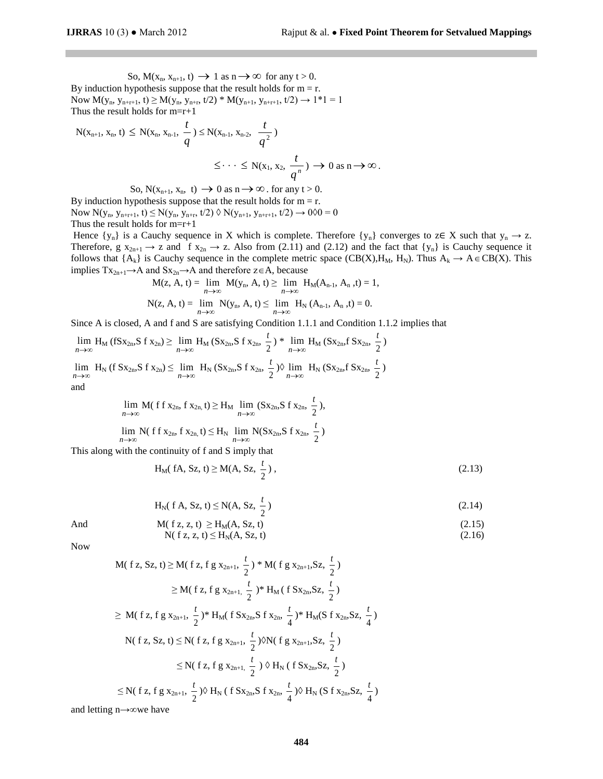So,  $M(x_n, x_{n+1}, t) \rightarrow 1$  as  $n \rightarrow \infty$  for any  $t > 0$ . By induction hypothesis suppose that the result holds for  $m = r$ . Now  $M(y_n, y_{n+r+1}, t) \ge M(y_n, y_{n+r}, t/2) * M(y_{n+1}, y_{n+r+1}, t/2) \rightarrow 1*1 = 1$ Thus the result holds for m=r+1

$$
N(x_{n+1}, x_n, t) \le N(x_n, x_{n-1}, \frac{t}{q}) \le N(x_{n-1}, x_{n-2}, \frac{t}{q^2})
$$
  

$$
\le \dots \le N(x_1, x_2, \frac{t}{q^n}) \to 0 \text{ as } n \to \infty.
$$

So,  $N(x_{n+1}, x_n, t) \rightarrow 0$  as  $n \rightarrow \infty$ . for any  $t > 0$ .

By induction hypothesis suppose that the result holds for  $m = r$ . Now  $N(y_n, y_{n+r+1}, t) \leq N(y_n, y_{n+r}, t/2) \Diamond N(y_{n+1}, y_{n+r+1}, t/2) \rightarrow 0 \Diamond 0 = 0$ Thus the result holds for m=r+1

Hence  $\{y_n\}$  is a Cauchy sequence in X which is complete. Therefore  $\{y_n\}$  converges to z∈ X such that  $y_n \to z$ . Therefore,  $g\ x_{2n+1} \to z$  and f  $x_{2n} \to z$ . Also from (2.11) and (2.12) and the fact that  $\{y_n\}$  is Cauchy sequence it follows that  $\{A_k\}$  is Cauchy sequence in the complete metric space  $(CB(X), H_M, H_N)$ . Thus  $A_k \to A \in CB(X)$ . This implies  $Tx_{2n+1} \rightarrow A$  and  $Sx_{2n} \rightarrow A$  and therefore  $z \in A$ , because

$$
M(z, A, t) = \lim_{n \to \infty} M(y_n, A, t) \ge \lim_{n \to \infty} H_M(A_{n-1}, A_n, t) = 1,
$$
  

$$
N(z, A, t) = \lim_{n \to \infty} N(y_n, A, t) \le \lim_{n \to \infty} H_N(A_{n-1}, A_n, t) = 0.
$$

Since A is closed, A and f and S are satisfying Condition 1.1.1 and Condition 1.1.2 implies that

$$
\lim_{n \to \infty} H_M \left( fSx_{2n}, S f x_{2n} \right) \ge \lim_{n \to \infty} H_M \left( Sx_{2n}, S f x_{2n}, \frac{t}{2} \right) * \lim_{n \to \infty} H_M \left( Sx_{2n}, f Sx_{2n}, \frac{t}{2} \right)
$$
\n
$$
\lim_{n \to \infty} H_N \left( f Sx_{2n}, S f x_{2n} \right) \le \lim_{n \to \infty} H_N \left( Sx_{2n}, S f x_{2n}, \frac{t}{2} \right) \lozenge \lim_{n \to \infty} H_N \left( Sx_{2n}, f Sx_{2n}, \frac{t}{2} \right)
$$
\nand

$$
\lim_{n \to \infty} M(\; f \; f \; x_{2n}, \; f \; x_{2n}, t) \geq H_M \; \lim_{n \to \infty} \; (Sx_{2n}, S \; f \; x_{2n}, \; \frac{t}{2}) ,
$$
\n
$$
\lim_{n \to \infty} N(\; f \; f \; x_{2n}, \; f \; x_{2n}, t) \leq H_N \; \lim_{n \to \infty} N(Sx_{2n}, S \; f \; x_{2n}, \; \frac{t}{2})
$$

This along with the continuity of f and S imply that

$$
H_M
$$
 (fA, Sz, t)  $\geq M(A, Sz, \frac{t}{2})$ , (2.13)

$$
H_N(f A, Sz, t) \le N(A, Sz, \frac{t}{2})
$$
 (2.14)

And 
$$
M(f z, z, t) \ge H_M(A, Sz, t)
$$
 (2.15)  
  $N(f z, z, t) \le H_N(A, Sz, t)$  (2.16)

Now

$$
M(f z, Sz, t) \ge M(f z, fg x_{2n+1}, \frac{t}{2}) * M(f g x_{2n+1}, Sz, \frac{t}{2})
$$
  
\n
$$
\ge M(f z, fg x_{2n+1}, \frac{t}{2}) * H_M(f S x_{2n}, Sz, \frac{t}{2})
$$
  
\n
$$
\ge M(f z, fg x_{2n+1}, \frac{t}{2}) * H_M(f S x_{2n}, S f x_{2n}, \frac{t}{4}) * H_M(S f x_{2n}, Sz, \frac{t}{4})
$$
  
\n
$$
N(f z, Sz, t) \le N(f z, fg x_{2n+1}, \frac{t}{2}) \otimes N(f g x_{2n+1}, Sz, \frac{t}{2})
$$
  
\n
$$
\le N(f z, fg x_{2n+1}, \frac{t}{2}) \otimes H_N(f S x_{2n}, Sz, \frac{t}{2})
$$
  
\n
$$
\le N(f z, fg x_{2n+1}, \frac{t}{2}) \otimes H_N(f S x_{2n}, S f x_{2n}, \frac{t}{4}) \otimes H_N(S f x_{2n}, Sz, \frac{t}{4})
$$

and letting n→∞we have